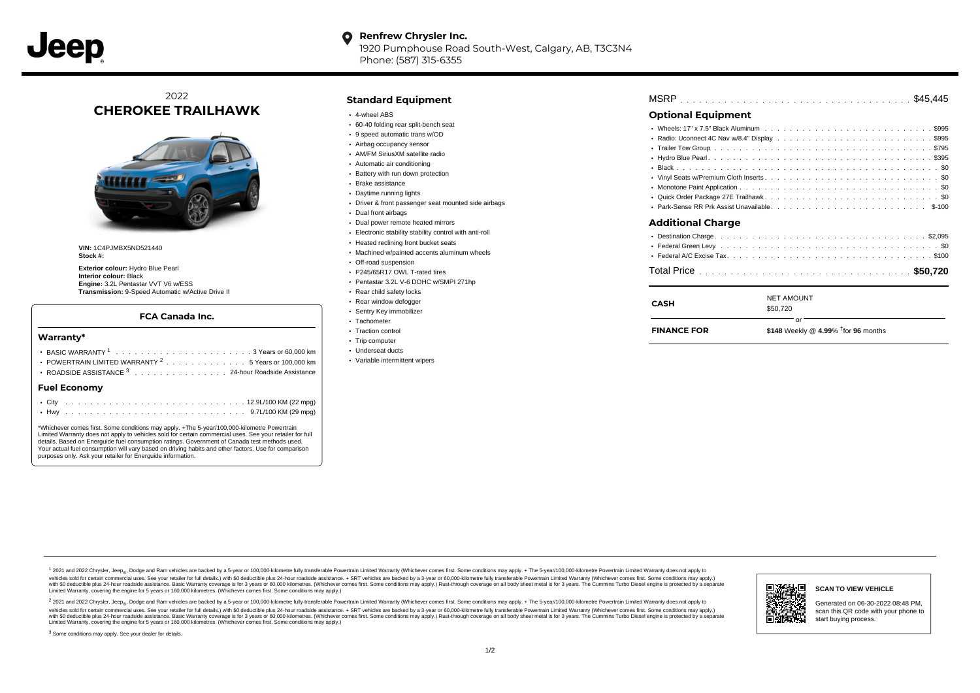#### **Renfrew Chrysler Inc.** O

1920 Pumphouse Road South-West, Calgary, AB, T3C3N4 Phone: (587) 315-6355

## 2022 **CHEROKEE TRAILHAWK**



**VIN:** 1C4PJMBX5ND521440 **Stock #:**

**Exterior colour:** Hydro Blue Pearl **Interior colour:** Black **Engine:** 3.2L Pentastar VVT V6 w/ESS **Transmission:** 9-Speed Automatic w/Active Drive II

#### **FCA Canada Inc.**

#### **Warranty\***

| Fried Features and the contract of the                                                 |  |  |  |  |  |  |  |  |
|----------------------------------------------------------------------------------------|--|--|--|--|--|--|--|--|
| • ROADSIDE ASSISTANCE 3 24-hour Roadside Assistance                                    |  |  |  |  |  |  |  |  |
| POWERTRAIN LIMITED WARRANTY $2, \ldots, \ldots, \ldots, \ldots, 5$ Years or 100.000 km |  |  |  |  |  |  |  |  |
|                                                                                        |  |  |  |  |  |  |  |  |
|                                                                                        |  |  |  |  |  |  |  |  |

#### **Fuel Economy**

\*Whichever comes first. Some conditions may apply. +The 5-year/100,000-kilometre Powertrain Limited Warranty does not apply to vehicles sold for certain commercial uses. See your retailer for full details. Based on Energuide fuel consumption ratings. Government of Canada test methods used. Your actual fuel consumption will vary based on driving habits and other factors. Use for comparison purposes only. Ask your retailer for Energuide information.

## **Standard Equipment**

- 4-wheel ABS
- 60-40 folding rear split-bench seat
- 9 speed automatic trans w/OD
- Airbag occupancy sensor
- AM/FM SiriusXM satellite radio
- Automatic air conditioning
- Battery with run down protection Brake assistance
- Daytime running lights
- 
- Driver & front passenger seat mounted side airbags
- Dual front airbags
- Dual power remote heated mirrors
- Electronic stability stability control with anti-roll
- Heated reclining front bucket seats
- Machined w/painted accents aluminum wheels
- Off-road suspension
- P245/65R17 OWL T-rated tires Pentastar 3.2L V-6 DOHC w/SMPI 271hp
- Rear child safety locks
- Rear window defogger
- Sentry Key immobilizer
- · Tachometer
- Traction control
- Trip computer
- Underseat ducts
- Variable intermittent wipers

|--|--|--|--|--|--|--|--|--|--|--|--|--|--|--|--|--|--|--|--|--|--|--|--|--|--|--|--|--|--|--|--|--|--|--|--|--|--|--|--|--|

## **Optional Equipment**

| Additional Charge |
|-------------------|
|                   |
|                   |
|                   |
|                   |

| <b>CASH</b> | <b>NET AMOUNT</b> |  |
|-------------|-------------------|--|
|             | \$50,720          |  |
|             | ωr                |  |

| <b>FINANCE FOR</b> | \$148 Weekly @ $4.99\%$ <sup>†</sup> for 96 months |
|--------------------|----------------------------------------------------|
|                    |                                                    |

1 2021 and 2022 Chrysler, Jeep<sub>en</sub> Dodge and Ram vehicles are backed by a 5-year or 100,000-kilometre fully transferable Powertrain Limited Warranty (Whichever comes first. Some conditions may apply. + The 5-year/100,000-k vehicles sold for certain commercial uses. See your retailer for full details.) with \$0 deductible plus 24-hour roadside assistance. + SRT vehicles are backed by a 3-year or 60,000-kilometre fully transferable Powertrain L versus and contract the mean of the contract of the contract with a contract with a contract the contract of the search of the contract and a control of the contract and contract and control of the search of the search of Limited Warranty, covering the engine for 5 years or 160,000 kilometres. (Whichever comes first. Some conditions may apply.)

<sup>2</sup> 2021 and 2022 Chrysler, Jeep<sub>®</sub>, Dodge and Ram vehicles are backed by a 5-year or 100,000-kilometre fully transferable Powertrain Limited Warranty (Whichever comes first. Some conditions may apply. + The 5-year/100,000 vehicles sold for certain commercial uses. See your retailer for full details.) with SO deductible plus 24-hour roadside assistance. + SRT vehicles are backed by a 3-year or 60.000-kilometre fully transferable Powertrain L with S0 deductible plus 24-hour roadside assistance. Basic Warranty coverage is for 3 years or 60,000 kilometres. (Whichever comes first. Some conditions may apply.) Rust-through coverage on all body sheet metal is for 3 y



**SCAN TO VIEW VEHICLE**

Generated on 06-30-2022 08:48 PM, scan this QR code with your phone to start buying process.

<sup>3</sup> Some conditions may apply. See your dealer for details.